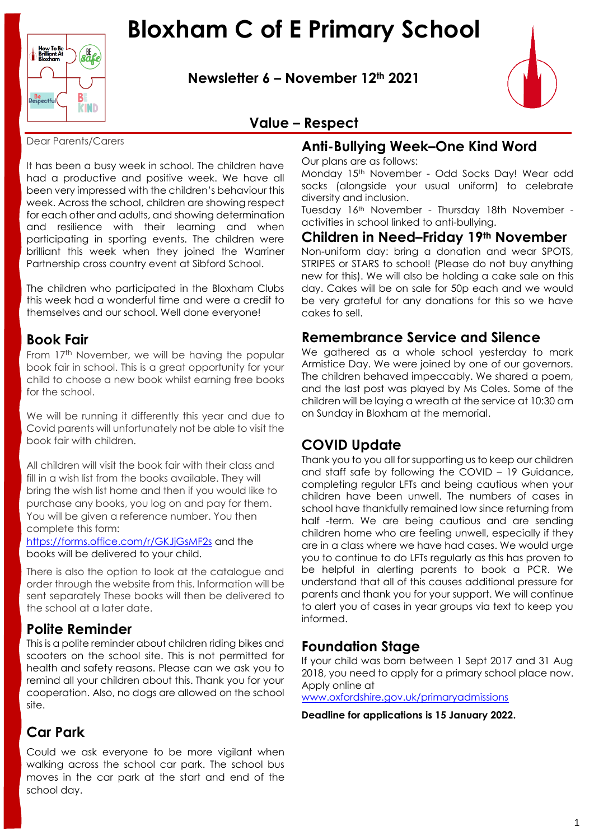

**Newsletter 6 – November 12th 2021**



# **Value – Respect**

Dear Parents/Carers

It has been a busy week in school. The children have had a productive and positive week. We have all been very impressed with the children's behaviour this week. Across the school, children are showing respect for each other and adults, and showing determination and resilience with their learning and when participating in sporting events. The children were brilliant this week when they joined the Warriner Partnership cross country event at Sibford School.

The children who participated in the Bloxham Clubs this week had a wonderful time and were a credit to themselves and our school. Well done everyone!

## **Book Fair**

From 17<sup>th</sup> November, we will be having the popular book fair in school. This is a great opportunity for your child to choose a new book whilst earning free books for the school.

We will be running it differently this year and due to Covid parents will unfortunately not be able to visit the book fair with children.

All children will visit the book fair with their class and fill in a wish list from the books available. They will bring the wish list home and then if you would like to purchase any books, you log on and pay for them. You will be given a reference number. You then complete this form:

<https://forms.office.com/r/GKJjGsMF2s> and the books will be delivered to your child.

There is also the option to look at the catalogue and order through the website from this. Information will be sent separately These books will then be delivered to the school at a later date.

## **Polite Reminder**

This is a polite reminder about children riding bikes and scooters on the school site. This is not permitted for health and safety reasons. Please can we ask you to remind all your children about this. Thank you for your cooperation. Also, no dogs are allowed on the school site.

# **Car Park**

Could we ask everyone to be more vigilant when walking across the school car park. The school bus moves in the car park at the start and end of the school day.

# **Anti-Bullying Week–One Kind Word**

Our plans are as follows:

Monday 15th November - Odd Socks Day! Wear odd socks (alongside your usual uniform) to celebrate diversity and inclusion.

Tuesday 16th November - Thursday 18th November activities in school linked to anti-bullying.

## **Children in Need–Friday 19th November**

Non-uniform day: bring a donation and wear SPOTS, STRIPES or STARS to school! (Please do not buy anything new for this). We will also be holding a cake sale on this day. Cakes will be on sale for 50p each and we would be very grateful for any donations for this so we have cakes to sell.

## **Remembrance Service and Silence**

We gathered as a whole school vesterday to mark Armistice Day. We were joined by one of our governors. The children behaved impeccably. We shared a poem, and the last post was played by Ms Coles. Some of the children will be laying a wreath at the service at 10:30 am on Sunday in Bloxham at the memorial.

# **COVID Update**

Thank you to you all for supporting us to keep our children and staff safe by following the COVID – 19 Guidance, completing regular LFTs and being cautious when your children have been unwell. The numbers of cases in school have thankfully remained low since returning from half -term. We are being cautious and are sending children home who are feeling unwell, especially if they are in a class where we have had cases. We would urge you to continue to do LFTs regularly as this has proven to be helpful in alerting parents to book a PCR. We understand that all of this causes additional pressure for parents and thank you for your support. We will continue to alert you of cases in year groups via text to keep you informed.

# **Foundation Stage**

If your child was born between 1 Sept 2017 and 31 Aug 2018, you need to apply for a primary school place now. Apply online at

[www.oxfordshire.gov.uk/primaryadmissions](http://www.oxfordshire.gov.uk/primaryadmissions)

**Deadline for applications is 15 January 2022.**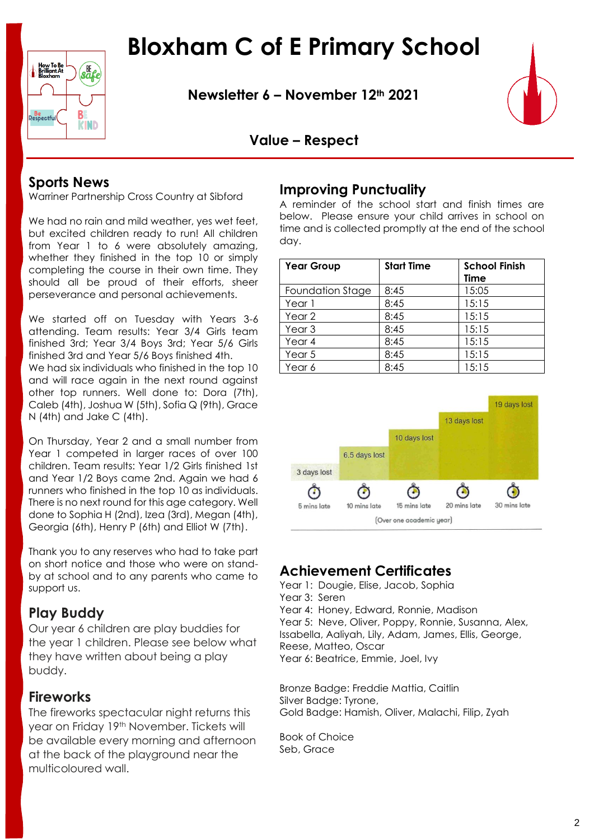How To Be<br>Brilliant At<br>Bloxham **Be**<br>Respectful B **KIND** 

**Newsletter 6 – November 12th 2021**



# **Value – Respect**

# **Sports News**

Warriner Partnership Cross Country at Sibford

We had no rain and mild weather, yes wet feet, but excited children ready to run! All children from Year 1 to 6 were absolutely amazing, whether they finished in the top 10 or simply completing the course in their own time. They should all be proud of their efforts, sheer perseverance and personal achievements.

We started off on Tuesday with Years 3-6 attending. Team results: Year 3/4 Girls team finished 3rd; Year 3/4 Boys 3rd; Year 5/6 Girls finished 3rd and Year 5/6 Boys finished 4th. We had six individuals who finished in the top 10 and will race again in the next round against other top runners. Well done to: Dora (7th), Caleb (4th), Joshua W (5th), Sofia Q (9th), Grace N (4th) and Jake C (4th).

On Thursday, Year 2 and a small number from Year 1 competed in larger races of over 100 children. Team results: Year 1/2 Girls finished 1st and Year 1/2 Boys came 2nd. Again we had 6 runners who finished in the top 10 as individuals. There is no next round for this age category. Well done to Sophia H (2nd), Izea (3rd), Megan (4th), Georgia (6th), Henry P (6th) and Elliot W (7th).

Thank you to any reserves who had to take part on short notice and those who were on standby at school and to any parents who came to support us.

# **Play Buddy**

Our year 6 children are play buddies for the year 1 children. Please see below what they have written about being a play buddy.

## **Fireworks**

The fireworks spectacular night returns this year on Friday 19th November. Tickets will be available every morning and afternoon at the back of the playground near the multicoloured wall.

## **Improving Punctuality**

A reminder of the school start and finish times are below. Please ensure your child arrives in school on time and is collected promptly at the end of the school day.

| <b>Year Group</b> | <b>Start Time</b> | <b>School Finish</b><br>Time |
|-------------------|-------------------|------------------------------|
| Foundation Stage  | 8:45              | 15:05                        |
| Year 1            | 8:45              | 15:15                        |
| Year 2            | 8:45              | 15:15                        |
| Year <sub>3</sub> | 8:45              | 15:15                        |
| Year 4            | 8:45              | 15:15                        |
| Year 5            | 8:45              | 15:15                        |
| Year 6            | 8:45              | 15:15                        |



# **Achievement Certificates**

Year 1: Dougie, Elise, Jacob, Sophia

Year 3: Seren

Year 4: Honey, Edward, Ronnie, Madison

Year 5: Neve, Oliver, Poppy, Ronnie, Susanna, Alex, Issabella, Aaliyah, Lily, Adam, James, Ellis, George,

Reese, Matteo, Oscar

Year 6: Beatrice, Emmie, Joel, Ivy

Bronze Badge: Freddie Mattia, Caitlin Silver Badge: Tyrone, Gold Badge: Hamish, Oliver, Malachi, Filip, Zyah

Book of Choice Seb, Grace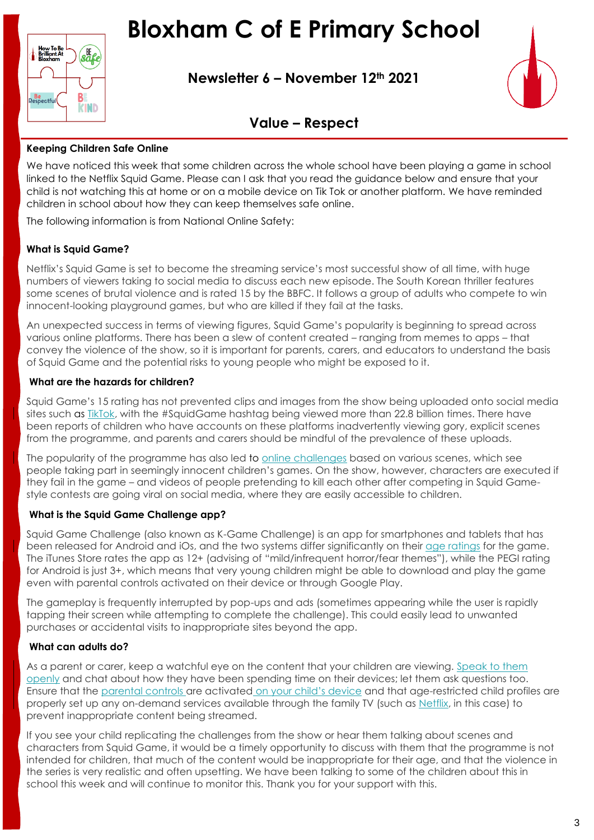

**Newsletter 6 – November 12th 2021**



# **Value – Respect**

#### **Keeping Children Safe Online**

We have noticed this week that some children across the whole school have been playing a game in school linked to the Netflix Squid Game. Please can I ask that you read the guidance below and ensure that your child is not watching this at home or on a mobile device on Tik Tok or another platform. We have reminded children in school about how they can keep themselves safe online.

The following information is from [National Online Safety:](https://nationalonlinesafety.com/wakeupwednesday/squid-game-trending-across-platforms-what-parents-need-to-know)

#### **What is Squid Game?**

Netflix's Squid Game is set to become the streaming service's most successful show of all time, with huge numbers of viewers taking to social media to discuss each new episode. The South Korean thriller features some scenes of brutal violence and is rated 15 by the BBFC. It follows a group of adults who compete to win innocent-looking playground games, but who are killed if they fail at the tasks.

An unexpected success in terms of viewing figures, Squid Game's popularity is beginning to spread across various online platforms. There has been a slew of content created – ranging from memes to apps – that convey the violence of the show, so it is important for parents, carers, and educators to understand the basis of Squid Game and the potential risks to young people who might be exposed to it.

#### **What are the hazards for children?**

Squid Game's 15 rating has not prevented clips and images from the show being uploaded onto social media sites such as [TikTok,](https://nationalonlinesafety.com/hub/view/guide/what-parents-need-to-know-about-tiktok) with the #SquidGame hashtag being viewed more than 22.8 billion times. There have been reports of children who have accounts on these platforms inadvertently viewing gory, explicit scenes from the programme, and parents and carers should be mindful of the prevalence of these uploads.

The popularity of the programme has also led to online challenges based on various scenes, which see people taking part in seemingly innocent children's games. On the show, however, characters are executed if they fail in the game – and videos of people pretending to kill each other after competing in Squid Gamestyle contests are going viral on social media, where they are easily accessible to children.

#### **What is the Squid Game Challenge app?**

Squid Game Challenge (also known as K-Game Challenge) is an app for smartphones and tablets that has been released for Android and iOs, and the two systems differ significantly on their age ratings for the game. The iTunes Store rates the app as 12+ (advising of "mild/infrequent horror/fear themes"), while the PEGI rating for Android is just 3+, which means that very young children might be able to download and play the game even with parental controls activated on their device or through Google Play.

The gameplay is frequently interrupted by pop-ups and ads (sometimes appearing while the user is rapidly tapping their screen while attempting to complete the challenge). This could easily lead to unwanted purchases or accidental visits to inappropriate sites beyond the app.

#### **What can adults do?**

As a parent or carer, keep a watchful eye on the content that your children are viewing. Speak to them openly and chat about how they have been spending time on their devices; let them ask questions too. Ensure that the parental controls are activated on your child's device and that age-restricted child profiles are properly set up any on-demand services available through the family TV (such as Netflix, in this case) to prevent inappropriate content being streamed.

If you see your child replicating the challenges from the show or hear them talking about scenes and characters from Squid Game, it would be a timely opportunity to discuss with them that the programme is not intended for children, that much of the content would be inappropriate for their age, and that the violence in the series is very realistic and often upsetting. We have been talking to some of the children about this in school this week and will continue to monitor this. Thank you for your support with this.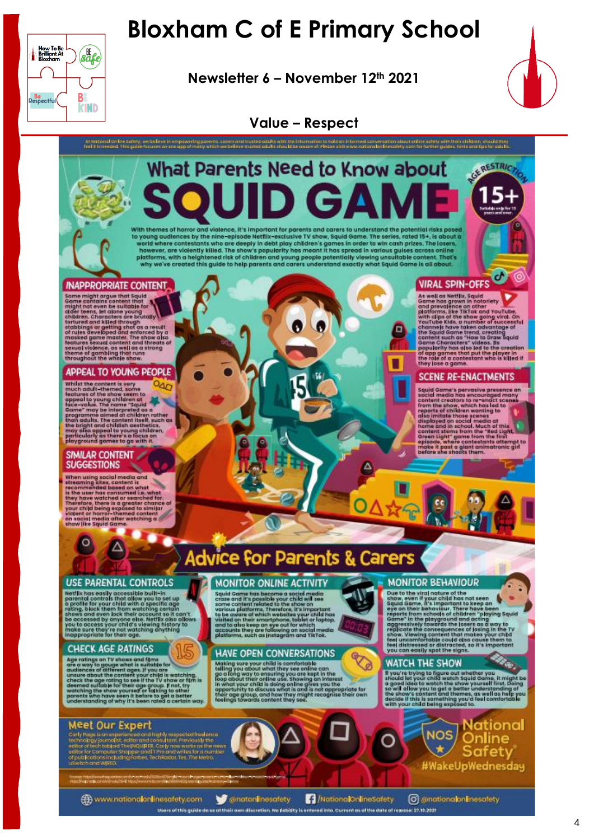Newsletter 6 - November 12th 2021



GERESTRICTIO

Ø 16

### **Value – Respect**

#### Attentional on the Solety, we be true in employering pororm, survey and the<br>Feel it invested. This guide houses on the app of many which we believe the .<br>weaston shaut orline estaty with their children, anoula they<br>lot lineastery.com for further guides: high and the for odular.

# What Parents Need to Know about With themes of horror and violence, it's important for parents and carers to understand the potential risks posed

with the means of the nine-spielde Netflix-exclusive TV show, Squid Game. The series, rated 15+, is about a<br>to young audiences by the nine-spielde Netflix-exclusive TV show, Squid Game. The series, rated 15+, is about a<br>wo

O

#### **INAPPROPRIATE CONTENT.**

How To Be<br>Brilliant At<br>Bloxham

**Be**<br>Respectful

**s**afe

 $B<sub>1</sub>$ 

**KIND** 

Their and the state of the state of the state of the state of the state of the state of the state of the state of the state of the state of the state of the state of the state of the state of the state of the state of the

#### APPEAL TO YOUNG PEOPLE

Whilst the content is very<br>much deliberate is every much deliberates are appeal to young children of<br>appeal to young children of<br>speed to young children of<br>come" may be interpreted as a<br>parameter of the name "speed in othe

#### SIMILAR CONTENT **SUGGESTIONS**

 $\mathsf{P}$ 

When using social media and<br>the commended based in the commended based on what<br>the process measured in what<br>they have watched or searched for the<br>they have watched or searched for the value of the value of the<br>value of the

# **Advice for Parents & Carers**

**MONITOR ONLINE ACTIVITY** 

Squid Geme has becomes a social media<br>Squid Geme has becomes a social media<br>cross and it's possible your child will see<br>some cantient related to the show on<br>stars and discharged vary child has been as the cover of which wi

**HAVE OPEN CONVERSATIONS** 

Making sure your child is comfortable<br>can have your child is comfortable<br>go a long way to ensuring you are kept in the<br>floop about their ordina use. Showing an interest in the<br>in what your child is doing online gives you t

#### **USE PARENTAL CONTROLS**

Δ

Netflix has easily accessible built-in<br>parential controls that allow you to set up<br>parential controls that allow you to set up<br>a parential controls that allow you to set up<br>roting. block them from worthing certain<br>the cont

#### **CHECK AGE RATINGS**

Age ratings on TV shows and films<br>are a significant and films<br>are a way to groups what is suitable for<br>andences of different ages. If you are<br>substituted that contains the same of the TV shows of this decreased suitable f

#### **Meet Our Expert**

ly Page is an experienced and highly respected freedomce<br>cology journalist, action and consultons. Proviously the<br>or of tech basical The INQUISER. Carly now wants as the news<br>or for Computer Shapper and IT Pro and writtes

www.nationalonlinesafety.com

Conatonlinesafety

/ /NationalOnlineSafety

Diers of this guide do se at their own discretion. No fatklity is entered into. Current as af the date of resease: 27.10.2021

**O** conational onlinesatety

**NOS** 

**VIRAL SPIN-OFFS** 

o

Δ

R

ò

△☆金

**MONITOR BEHAVIOUR** 

**WATCH THE SHOW** 

Due to the virgin material that the keep and the shape of the virgin state in the stage of the stage of the stage of the stage of the stage of the stage of the stage of the player of the player of the player of the player

If you're trying to figure out whether you.<br>Should let your child watch Squid Game, it might be<br>appel does to watch the show yourself first, Doing<br>to goal does to watch the show yourself first, Doing<br>the show's context can

Mational<br>Online

Safety #WakeUpWednesday

VIKAL SPIN UTFS<br>
As well as Nettly, Squad<br>
Agree has grown in notatiety<br>
adme has grown in notatiety<br>
and prevail in notatiety<br>
admension of the stars grown in notatiety<br>
which eliges of the share grown is not reached<br>
the

**SCENE RE-ENACTMENTS** 

Squid Game's pervosive presence on<br>social media hos excepted many contained contained from the show, which has led to<br>from the show, which has led to<br>disc immunity for containing to<br>disc immunity of children wanting to<br>dis